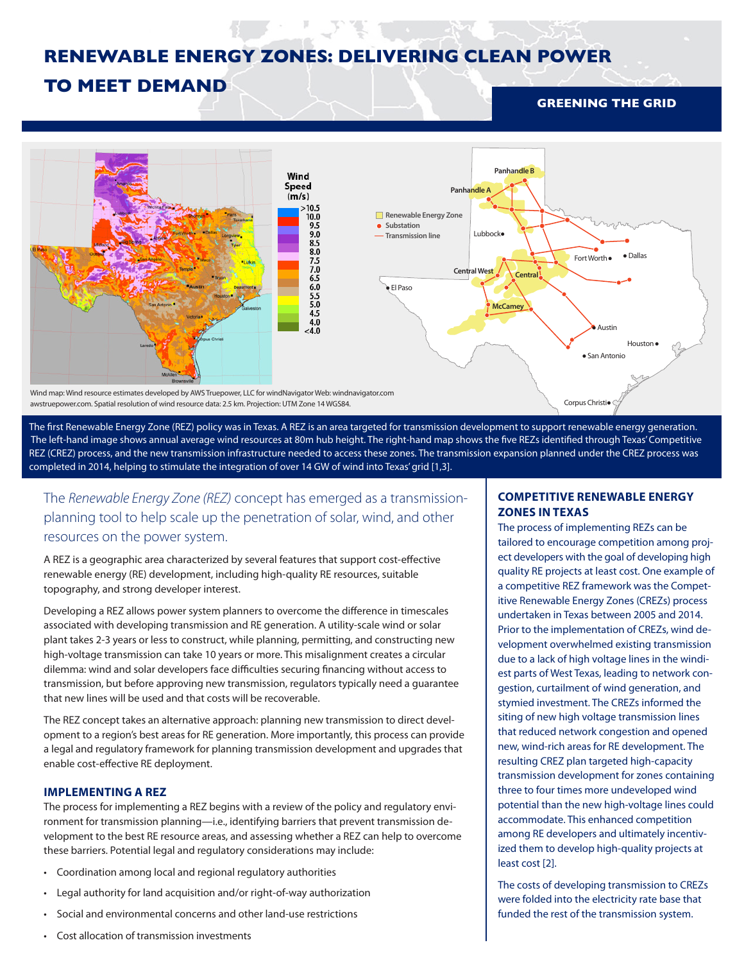# **RENEWABLE ENERGY ZONES: DELIVERING CLEAN POWER**

## **TO MEET DEMAND**

## **GREENING THE GRID**



The first Renewable Energy Zone (REZ) policy was in Texas. A REZ is an area targeted for transmission development to support renewable energy generation. The left-hand image shows annual average wind resources at 80m hub height. The right-hand map shows the five REZs identified through Texas' Competitive REZ (CREZ) process, and the new transmission infrastructure needed to access these zones. The transmission expansion planned under the CREZ process was REZ (CREZ) process, and the new transmission infrastructure needed to completed in 2014, helping to stimulate the integration of over 14 GW of wind into Texas' grid [1,3].

The *Renewable Energy Zone (REZ)* concept has emerged as a transmissionplanning tool to help scale up the penetration of solar, wind, and other resources on the power system.

A REZ is a geographic area characterized by several features that support cost-effective renewable energy (RE) development, including high-quality RE resources, suitable topography, and strong developer interest.

Developing a REZ allows power system planners to overcome the difference in timescales associated with developing transmission and RE generation. A utility-scale wind or solar plant takes 2-3 years or less to construct, while planning, permitting, and constructing new high-voltage transmission can take 10 years or more. This misalignment creates a circular dilemma: wind and solar developers face difficulties securing financing without access to transmission, but before approving new transmission, regulators typically need a guarantee that new lines will be used and that costs will be recoverable.

The REZ concept takes an alternative approach: planning new transmission to direct development to a region's best areas for RE generation. More importantly, this process can provide a legal and regulatory framework for planning transmission development and upgrades that enable cost-effective RE deployment.

## **IMPLEMENTING A REZ**

The process for implementing a REZ begins with a review of the policy and regulatory environment for transmission planning—i.e., identifying barriers that prevent transmission development to the best RE resource areas, and assessing whether a REZ can help to overcome these barriers. Potential legal and regulatory considerations may include:

- Coordination among local and regional regulatory authorities
- Legal authority for land acquisition and/or right-of-way authorization
- Social and environmental concerns and other land-use restrictions
- Cost allocation of transmission investments

## **COMPETITIVE RENEWABLE ENERGY ZONES IN TEXAS**

The process of implementing REZs can be tailored to encourage competition among project developers with the goal of developing high quality RE projects at least cost. One example of a competitive REZ framework was the Competitive Renewable Energy Zones (CREZs) process undertaken in Texas between 2005 and 2014. Prior to the implementation of CREZs, wind development overwhelmed existing transmission due to a lack of high voltage lines in the windiest parts of West Texas, leading to network congestion, curtailment of wind generation, and stymied investment. The CREZs informed the siting of new high voltage transmission lines that reduced network congestion and opened new, wind-rich areas for RE development. The resulting CREZ plan targeted high-capacity transmission development for zones containing three to four times more undeveloped wind potential than the new high-voltage lines could accommodate. This enhanced competition among RE developers and ultimately incentivized them to develop high-quality projects at least cost [2].

The costs of developing transmission to CREZs were folded into the electricity rate base that funded the rest of the transmission system.